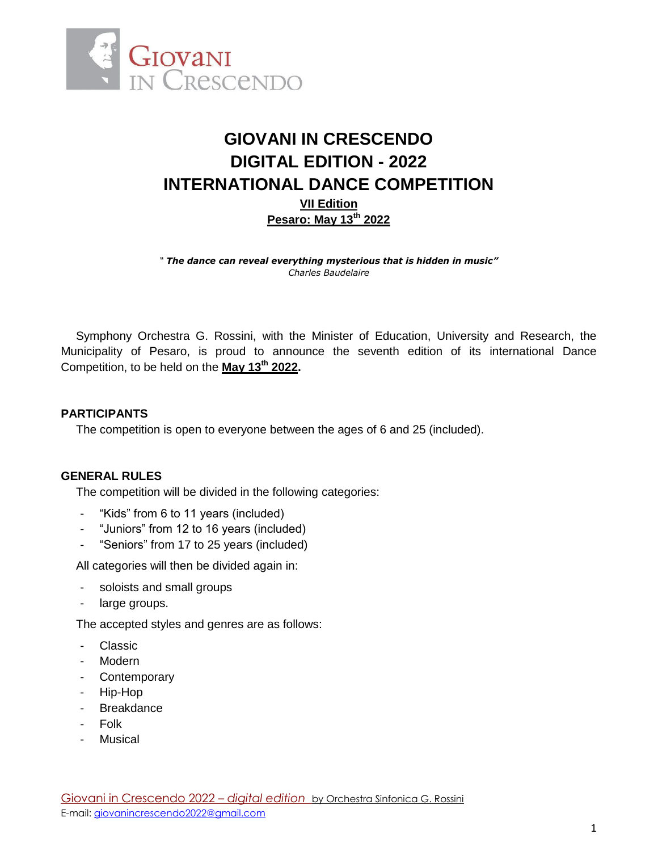

# **GIOVANI IN CRESCENDO DIGITAL EDITION - 2022 INTERNATIONAL DANCE COMPETITION VII Edition Pesaro: May 13th 2022**

*" The dance can reveal everything mysterious that is hidden in music" Charles Baudelaire*

Symphony Orchestra G. Rossini, with the Minister of Education, University and Research, the Municipality of Pesaro, is proud to announce the seventh edition of its international Dance Competition, to be held on the **May 13th 2022.**

# **PARTICIPANTS**

The competition is open to everyone between the ages of 6 and 25 (included).

## **GENERAL RULES**

The competition will be divided in the following categories:

- "Kids" from 6 to 11 years (included)
- "Juniors" from 12 to 16 years (included)
- "Seniors" from 17 to 25 years (included)

All categories will then be divided again in:

- soloists and small groups
- large groups.

The accepted styles and genres are as follows:

- Classic
- Modern
- Contemporary
- Hip-Hop
- Breakdance
- Folk
- Musical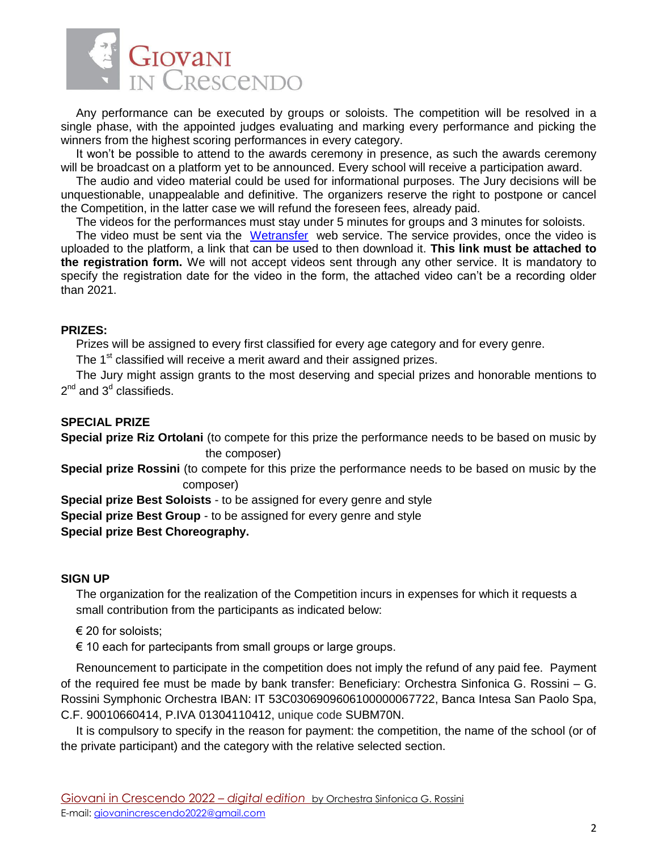

Any performance can be executed by groups or soloists. The competition will be resolved in a single phase, with the appointed judges evaluating and marking every performance and picking the winners from the highest scoring performances in every category.

It won't be possible to attend to the awards ceremony in presence, as such the awards ceremony will be broadcast on a platform yet to be announced. Every school will receive a participation award.

The audio and video material could be used for informational purposes. The Jury decisions will be unquestionable, unappealable and definitive. The organizers reserve the right to postpone or cancel the Competition, in the latter case we will refund the foreseen fees, already paid.

The videos for the performances must stay under 5 minutes for groups and 3 minutes for soloists.

The video must be sent via the [Wetransfer](https://wetransfer.com/) web service. The service provides, once the video is uploaded to the platform, a link that can be used to then download it. **This link must be attached to the registration form.** We will not accept videos sent through any other service. It is mandatory to specify the registration date for the video in the form, the attached video can't be a recording older than 2021.

## **PRIZES:**

Prizes will be assigned to every first classified for every age category and for every genre.

The 1<sup>st</sup> classified will receive a merit award and their assigned prizes.

The Jury might assign grants to the most deserving and special prizes and honorable mentions to  $2^{\text{nd}}$  and  $3^{\text{d}}$  classifieds.

## **SPECIAL PRIZE**

**Special prize Riz Ortolani** (to compete for this prize the performance needs to be based on music by the composer)

**Special prize Rossini** (to compete for this prize the performance needs to be based on music by the composer)

**Special prize Best Soloists** - to be assigned for every genre and style

**Special prize Best Group** - to be assigned for every genre and style

# **Special prize Best Choreography.**

## **SIGN UP**

The organization for the realization of the Competition incurs in expenses for which it requests a small contribution from the participants as indicated below:

 $\epsilon$  20 for soloists:

 $\epsilon$  10 each for partecipants from small groups or large groups.

Renouncement to participate in the competition does not imply the refund of any paid fee. Payment of the required fee must be made by bank transfer: Beneficiary: Orchestra Sinfonica G. Rossini – G. Rossini Symphonic Orchestra IBAN: IT 53C0306909606100000067722, Banca Intesa San Paolo Spa, C.F. 90010660414, P.IVA 01304110412, unique code SUBM70N.

It is compulsory to specify in the reason for payment: the competition, the name of the school (or of the private participant) and the category with the relative selected section.